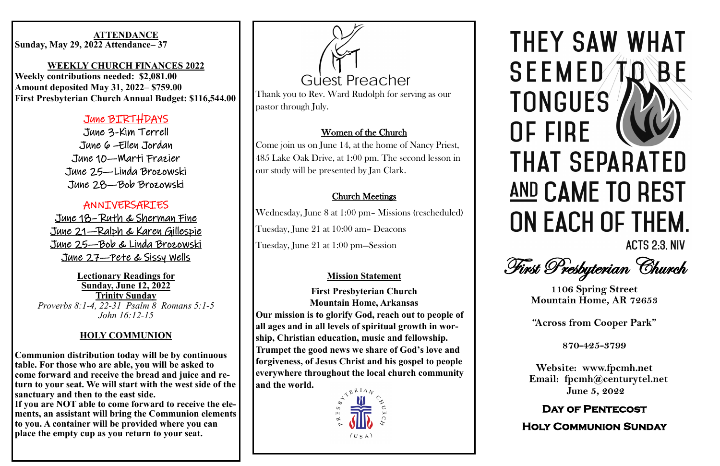#### eiusmod tempor incididunt ut labore et dolore magna aliqua. Ut **WEEKLY CHURCH FINANCES 2022**

Lorem ipsum dolor sit amet, consectetur adipiscing elit, sed do

#### **Sunday, May 29, 2022 Attendance–37 ATTENDANCE**

Weekly contributions needed: \$2,081.00  $\frac{1}{2}$  represented M<sub>ox</sub> 21, 2022, CTEO 00 fugiat nulla pariatur. **Amount deposited May 31, 2022– \$759.00 First Presbyterian Church Annual Budget: \$116,544.00**

> June 6 –Ellen Jordan June 10—Marti Frazier  $e \rightarrow \alpha e + \beta e$ June 25—Linda Brozowski  $T_{UUQ}$  20  $B_{N}$  Braznich June 28—Bob Brozowski June 3-Kim Terrell

### **ANNIVERSARIES**

 $T_{UMe.}$   $27 - PeA$ <u>June 27—Pete & Sissy Wells</u> June 18– Ruth & Sherman Fine June 21—Ralph & Karen Gillespie June 25—Bob & Linda Brozowski

eiusmod tempor incididum ut labore et dolore magna aliqua. Ut labore et dolore magna aliqua. Ut labore et dolore magna aliqua. Ut labore et dolore magna aliqua. Ut labore et dolore magna aliqua. Ut labore et dolore magna **Lectionary Readings for <u>Sunday, June 12, 2022</u> dolor in Trinity Sunday** *Proverbs 8:1-4, 22-31 Psalm 8 Romans 5:1-5 John 16:12-15*

If you are NOT able to come forward to receive the ele**ments, an assistant will bring the Communion elements to you. A container will be provided where you can place the empty cup as you return to your seat.** 





# THEY SAW WHAT **SEEMED TO BF TONGUES** OF FIRE **THAT SEPARATED** AND CAME TO REST ON EACH OF THEM.



**ACTS 2:3. NIV** 

First Presbyterian Church

#### June BIRTHDAYS

### **HOLY COMMUNION**

Communion distribution today will be by continuous<br>table. For those who are able you will be ested to table. For those who are able, you will be asked to come forward and receive the bread and juice and return to your seat. We will start with the west side of the sanctuary and then to the east side.

**1106 Spring Street Mountain Home, AR 72653**

**"Across from Cooper Park"**

**870-425-3799**

**Website: www.fpcmh.net Email: fpcmh@centurytel.net June 5, 2022**

#### **Day of Pentecost**

**Holy Communion Sunday** 

Thank you to Rev. Ward Rudolph for serving as our pastor through July.

## Women of the Church

Come join us on June 14, at the home of Nancy Priest, 485 Lake Oak Drive, at 1:00 pm. The second lesson in our study will be presented by Jan Clark.

### Church Meetings

Wednesday, June 8 at 1:00 pm– Missions (rescheduled) Tuesday, June 21 at 10:00 am– Deacons Tuesday, June 21 at 1:00 pm—Session

### **Mission Statement**

**First Presbyterian Church Mountain Home, Arkansas Our mission is to glorify God, reach out to people of all ages and in all levels of spiritual growth in worship, Christian education, music and fellowship. Trumpet the good news we share of God's love and forgiveness, of Jesus Christ and his gospel to people everywhere throughout the local church community and the world.**